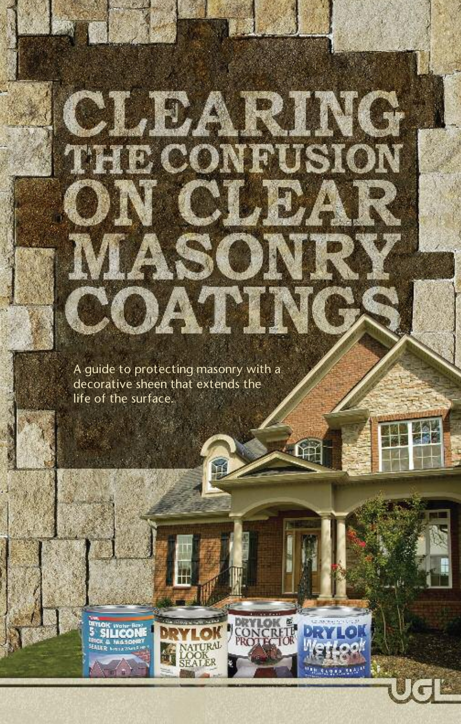A guide to protecting masonry with a decorative sheen that extends the life of the surface.

TRAL

**Million Street, Canada** 

**WASSON** 

**ON** 

**CLEARING** 

DATING

**JU**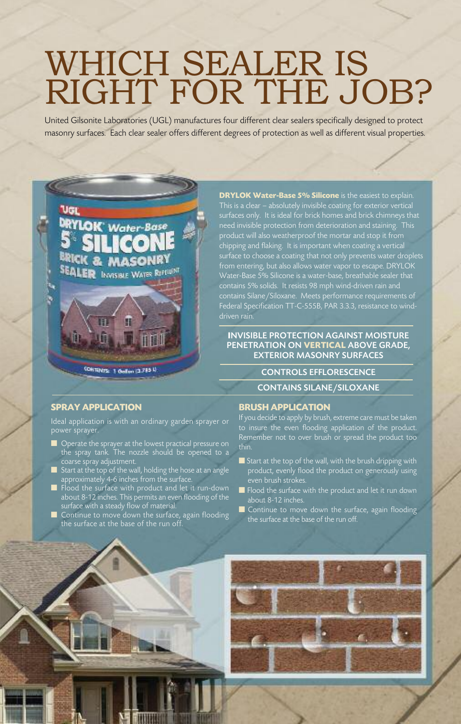# WHICH SEALER IS RIGHT FOR THE JOB?

United Gilsonite Laboratories (UGL) manufactures four different clear sealers specifically designed to protect masonry surfaces. Each clear sealer offers different degrees of protection as well as different visual properties.

**SPRAY APPLICATION**

VGI

in

Ideal application is with an ordinary garden sprayer or power sprayer.

Water-Base

**MAS SEALER INVISIBLE WATER REFERENT** 

H

**CONTINTS: 1 Outline 13,785 N** 

- **n** Operate the sprayer at the lowest practical pressure on the spray tank. The nozzle should be opened to a coarse spray adjustment.
- $\blacksquare$  Start at the top of the wall, holding the hose at an angle  $\alpha$ approximately 4-6 inches from the surface.
- $\blacksquare$  Flood the surface with product and let it run-down about 8-12 inches. This permits an even flooding of the surface with a steady flow of material.
- $\blacksquare$  Continue to move down the surface, again flooding the surface at the base of the run off.

**DRYLOK Water-Base 5% Silicone** is the easiest to explain. This is a clear – absolutely invisible coating for exterior vertical surfaces only. It is ideal for brick homes and brick chimneys that need invisible protection from deterioration and staining. This product will also weatherproof the mortar and stop it from chipping and flaking. It is important when coating a vertical surface to choose a coating that not only prevents water droplets from entering, but also allows water vapor to escape. DRYLOK Water-Base 5% Silicone is a water-base, breathable sealer that contains 5% solids. It resists 98 mph wind-driven rain and contains Silane/Siloxane. Meets performance requirements of Federal Specification TT-C-555B, PAR 3.3.3, resistance to winddriven rain.

#### **I**NVISIBLE PROTECTION AGAINST MOISTURE PENETRATION ON **VERTICAL** ABOVE GRADE, EXTERIOR MASONRY SURFACES

# CONTROLS EFFLORESCENCE

# CONTAINS SILANE/SILOXANE

#### **BRUSH APPLICATION**

If you decide to apply by brush, extreme care must be taken to insure the even flooding application of the product. Remember not to over brush or spread the product too thin.

- $\blacksquare$  Start at the top of the wall, with the brush dripping with product, evenly flood the product on generously using even brush strokes.
- $\blacksquare$  Flood the surface with the product and let it run down about 8-12 inches.
- Continue to move down the surface, again flooding the surface at the base of the run off.

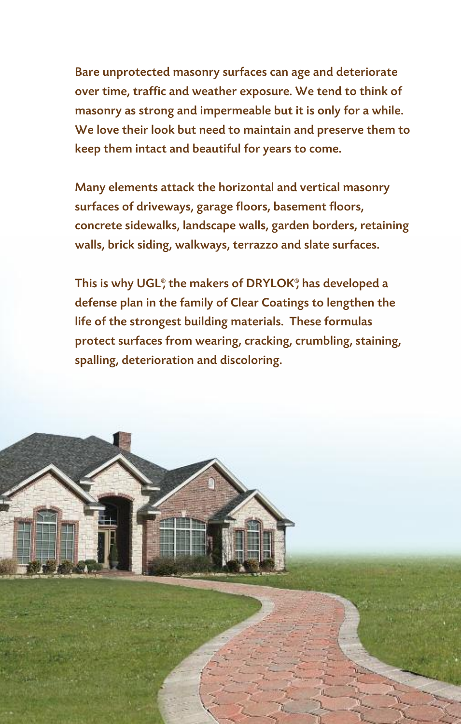Bare unprotected masonry surfaces can age and deteriorate over time, traffic and weather exposure. We tend to think of masonry as strong and impermeable but it is only for a while. We love their look but need to maintain and preserve them to keep them intact and beautiful for years to come.

Many elements attack the horizontal and vertical masonry surfaces of driveways, garage floors, basement floors, concrete sidewalks, landscape walls, garden borders, retaining walls, brick siding, walkways, terrazzo and slate surfaces.

This is why UGL®, the makers of DRYLOK®, has developed a defense plan in the family of Clear Coatings to lengthen the life of the strongest building materials. These formulas protect surfaces from wearing, cracking, crumbling, staining, spalling, deterioration and discoloring.

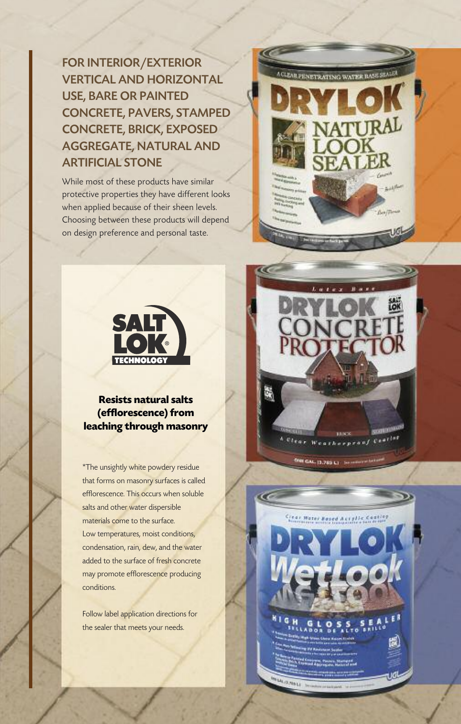FOR INTERIOR/EXTERIOR VERTICAL AND HORIZONTAL USE, BARE OR PAINTED CONCRETE, PAVERS, STAMPED CONCRETE, BRICK, EXPOSED AGGREGATE, NATURAL AND ARTIFICIAL STONE

While most of these products have similar protective properties they have different looks when applied because of their sheen levels. Choosing between these products will depend on design preference and personal taste.





# **Resists natural salts (efflorescence)** from **leaching through masonry**

\*The unsightly white powdery residue that forms on masonry surfaces is called efflorescence. This occurs when soluble salts and other water dispersible materials come to the surface. Low temperatures, moist conditions, condensation, rain, dew, and the water added to the surface of fresh concrete may promote efflorescence producing conditions.

Follow label application directions for the sealer that meets your needs.



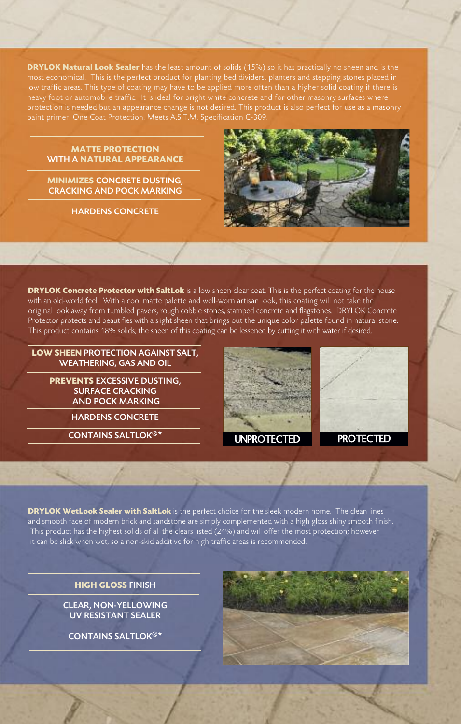**DRYLOK Natural Look Sealer** has the least amount of solids (15%) so it has practically no sheen and is the most economical. This is the perfect product for planting bed dividers, planters and stepping stones placed in low traffic areas. This type of coating may have to be applied more often than a higher solid coating if there is heavy foot or automobile traffic. It is ideal for bright white concrete and for other masonry surfaces where protection is needed but an appearance change is not desired. This product is also perfect for use as a masonry paint primer. One Coat Protection. Meets A.S.T.M. Specification C-309.

#### **MATTE PROTECTION** WITH A **NATURAL APPEARANCE**

**MINIMIZES** CONCRETE DUSTING, CRACKING AND POCK MARKING

HARDENS CONCRETE



**DRYLOK Concrete Protector with SaltLok** is a low sheen clear coat. This is the perfect coating for the house with an old-world feel. With a cool matte palette and well-worn artisan look, this coating will not take the original look away from tumbled pavers, rough cobble stones, stamped concrete and flagstones. DRYLOK Concrete Protector protects and beautifies with a slight sheen that brings out the unique color palette found in natural stone. This product contains 18% solids; the sheen of this coating can be lessened by cutting it with water if desired.

**LOW SHEEN** PROTECTION AGAINST SALT, WEATHERING, GAS AND OIL

> **PREVENTS** EXCESSIVE DUSTING, SURFACE CRACKING AND POCK MARKING

> > HARDENS CONCRETE

CONTAINS SALTLOK®\*



**DRYLOK WetLook Sealer with SaltLok** is the perfect choice for the sleek modern home. The clean lines and smooth face of modern brick and sandstone are simply complemented with a high gloss shiny smooth finish. This product has the highest solids of all the clears listed (24%) and will offer the most protection; however it can be slick when wet, so a non-skid additive for high traffic areas is recommended.

**HIGH GLOSS** FINISH

CLEAR, NON-YELLOWING UV RESISTANT SEALER

CONTAINS SALTLOK®\*